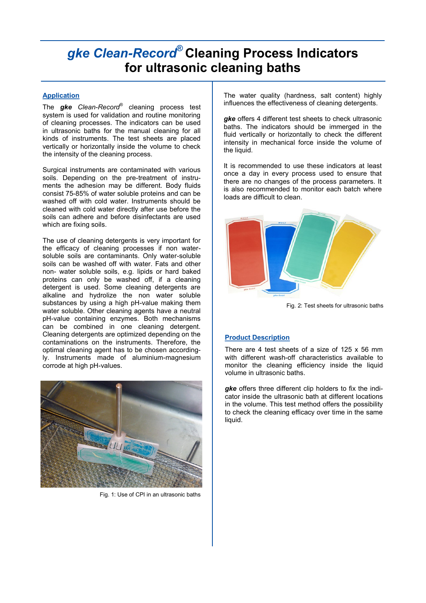# *gke Clean-Record***® Cleaning Process Indicators for ultrasonic cleaning baths**

## **Application**

The *gke Clean-Record*® cleaning process test system is used for validation and routine monitoring of cleaning processes. The indicators can be used in ultrasonic baths for the manual cleaning for all kinds of instruments. The test sheets are placed vertically or horizontally inside the volume to check the intensity of the cleaning process.

Surgical instruments are contaminated with various soils. Depending on the pre-treatment of instruments the adhesion may be different. Body fluids consist 75-85% of water soluble proteins and can be washed off with cold water. Instruments should be cleaned with cold water directly after use before the soils can adhere and before disinfectants are used which are fixing soils.

The use of cleaning detergents is very important for the efficacy of cleaning processes if non watersoluble soils are contaminants. Only water-soluble soils can be washed off with water. Fats and other non- water soluble soils, e.g. lipids or hard baked proteins can only be washed off, if a cleaning detergent is used. Some cleaning detergents are alkaline and hydrolize the non water soluble substances by using a high pH-value making them water soluble. Other cleaning agents have a neutral pH-value containing enzymes. Both mechanisms can be combined in one cleaning detergent. Cleaning detergents are optimized depending on the contaminations on the instruments. Therefore, the optimal cleaning agent has to be chosen accordingly. Instruments made of aluminium-magnesium corrode at high pH-values.



Fig. 1: Use of CPI in an ultrasonic baths

The water quality (hardness, salt content) highly influences the effectiveness of cleaning detergents.

*gke* offers 4 different test sheets to check ultrasonic baths. The indicators should be immerged in the fluid vertically or horizontally to check the different intensity in mechanical force inside the volume of the liquid.

It is recommended to use these indicators at least once a day in every process used to ensure that there are no changes of the process parameters. It is also recommended to monitor each batch where loads are difficult to clean.



Fig. 2: Test sheets for ultrasonic baths

### **Product Description**

There are 4 test sheets of a size of 125 x 56 mm with different wash-off characteristics available to monitor the cleaning efficiency inside the liquid volume in ultrasonic baths.

*gke* offers three different clip holders to fix the indicator inside the ultrasonic bath at different locations in the volume. This test method offers the possibility to check the cleaning efficacy over time in the same liquid.